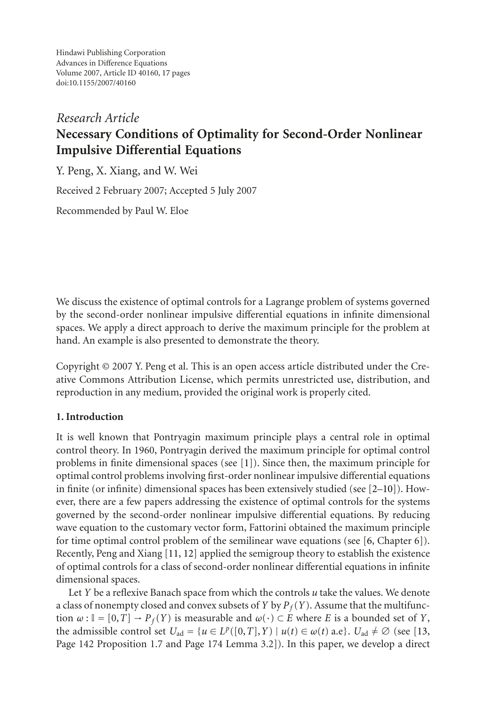Hindawi Publishing Corporation Advances in Difference Equations Volume 2007, Article ID 40160, [17](#page-15-0) pages doi:10.1155/2007/40160

# *Research Article* **Necessary Conditions of Optimality for Second-Order Nonlinear Impulsive Differential Equations**

Y. Peng, X. Xiang, and W. Wei

Received 2 February 2007; Accepted 5 July 2007

Recommended by Paul W. Eloe

We discuss the existence of optimal controls for a Lagrange problem of systems governed by the second-order nonlinear impulsive differential equations in infinite dimensional spaces. We apply a direct approach to derive the maximum principle for the problem at hand. An example is also presented to demonstrate the theory.

Copyright © 2007 Y. Peng et al. This is an open access article distributed under the Creative Commons Attribution License, which permits unrestricted use, distribution, and reproduction in any medium, provided the original work is properly cited.

# **1. Introduction**

It is well known that Pontryagin maximum principle plays a central role in optimal control theory. In 1960, Pontryagin derived the maximum principle for optimal control problems in finite dimensional spaces (see [\[1](#page-15-1)]). Since then, the maximum principle for optimal control problems involving first-order nonlinear impulsive differential equations in finite (or infinite) dimensional spaces has been extensively studied (see  $[2-10]$  $[2-10]$ ). However, there are a few papers addressing the existence of optimal controls for the systems governed by the second-order nonlinear impulsive differential equations. By reducing wave equation to the customary vector form, Fattorini obtained the maximum principle for time optimal control problem of the semilinear wave equations (see  $[6, Chapter 6]$  $[6, Chapter 6]$ ). Recently, Peng and Xiang [\[11,](#page-16-2) [12](#page-16-3)] applied the semigroup theory to establish the existence of optimal controls for a class of second-order nonlinear differential equations in infinite dimensional spaces.

Let *Y* be a reflexive Banach space from which the controls *u* take the values. We denote a class of nonempty closed and convex subsets of *Y* by  $P_f(Y)$ . Assume that the multifunction  $\omega$ :  $\mathbb{I} = [0, T] \rightarrow P_f(Y)$  is measurable and  $\omega(\cdot) \subset E$  where *E* is a bounded set of *Y*, the admissible control set  $U_{ad} = \{u \in L^p([0,T],Y) \mid u(t) \in \omega(t) \text{ a.e}\}\$ .  $U_{ad} \neq \emptyset$  (see [\[13,](#page-16-4) Page 142 Proposition 1.7 and Page 174 Lemma 3.2]). In this paper, we develop a direct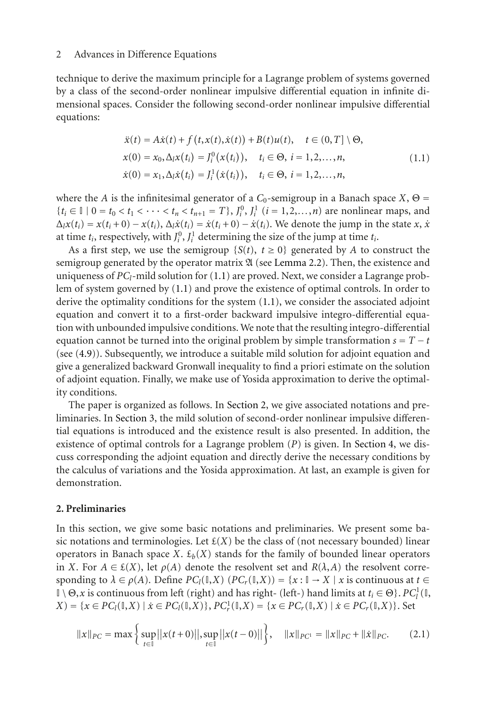technique to derive the maximum principle for a Lagrange problem of systems governed by a class of the second-order nonlinear impulsive differential equation in infinite dimensional spaces. Consider the following second-order nonlinear impulsive differential equations:

<span id="page-1-0"></span>
$$
\ddot{x}(t) = A\dot{x}(t) + f(t, x(t), \dot{x}(t)) + B(t)u(t), \quad t \in (0, T] \setminus \Theta,
$$
  
\n
$$
x(0) = x_0, \Delta_l x(t_i) = J_i^0(x(t_i)), \quad t_i \in \Theta, \quad i = 1, 2, ..., n,
$$
  
\n
$$
\dot{x}(0) = x_1, \Delta_l \dot{x}(t_i) = J_i^1(\dot{x}(t_i)), \quad t_i \in \Theta, \quad i = 1, 2, ..., n,
$$
\n(1.1)

where the *A* is the infinitesimal generator of a  $C_0$ -semigroup in a Banach space  $X$ ,  $\Theta$  =  ${t_i \in \mathbb{I} \mid 0 = t_0 < t_1 < \cdots < t_n < t_{n+1} = T}$ ,  $J_i^0$ ,  $J_i^1$  ( $i = 1, 2, ..., n$ ) are nonlinear maps, and  $\Delta_l x(t_i) = x(t_i + 0) - x(t_i)$ ,  $\Delta_l \dot{x}(t_i) = \dot{x}(t_i + 0) - \dot{x}(t_i)$ . We denote the jump in the state *x*,  $\dot{x}$ at time  $t_i$ , respectively, with  $J_i^0$ ,  $J_i^1$  determining the size of the jump at time  $t_i$ .

As a first step, we use the semigroup  $\{S(t), t \ge 0\}$  generated by A to construct the semigroup generated by the operator matrix  $\mathfrak A$  (see [Lemma 2.2\)](#page-2-0). Then, the existence and uniqueness of *PCl*-mild solution for [\(1.1\)](#page-1-0) are proved. Next, we consider a Lagrange problem of system governed by [\(1.1\)](#page-1-0) and prove the existence of optimal controls. In order to derive the optimality conditions for the system [\(1.1\)](#page-1-0), we consider the associated adjoint equation and convert it to a first-order backward impulsive integro-differential equation with unbounded impulsive conditions. We note that the resulting integro-differential equation cannot be turned into the original problem by simple transformation  $s = T - t$ (see [\(4.9\)](#page-7-0)). Subsequently, we introduce a suitable mild solution for adjoint equation and give a generalized backward Gronwall inequality to find a priori estimate on the solution of adjoint equation. Finally, we make use of Yosida approximation to derive the optimality conditions.

The paper is organized as follows. In [Section 2,](#page-1-1) we give associated notations and preliminaries. In [Section 3,](#page-3-0) the mild solution of second-order nonlinear impulsive differential equations is introduced and the existence result is also presented. In addition, the existence of optimal controls for a Lagrange problem (*P*) is given. In [Section 4,](#page-6-0) we discuss corresponding the adjoint equation and directly derive the necessary conditions by the calculus of variations and the Yosida approximation. At last, an example is given for demonstration.

## <span id="page-1-1"></span>**2. Preliminaries**

In this section, we give some basic notations and preliminaries. We present some basic notations and terminologies. Let  $\mathcal{E}(X)$  be the class of (not necessary bounded) linear operators in Banach space *X*.  $\mathcal{L}_b(X)$  stands for the family of bounded linear operators in *X*. For  $A \in \mathcal{E}(X)$ , let  $\rho(A)$  denote the resolvent set and  $R(\lambda, A)$  the resolvent corresponding to  $\lambda \in \rho(A)$ . Define  $PC_l(\mathbb{I}, X)$   $(PC_r(\mathbb{I}, X)) = \{x : \mathbb{I} \to X \mid x \text{ is continuous at } t \in \mathbb{I}\}$  $\mathbb{I} \setminus \Theta$ , *x* is continuous from left (right) and has right- (left-) hand limits at  $t_i \in \Theta$ }.  $PC_l^1(\mathbb{I},$ *X*) = {*x* ∈ *PC*<sub>*l*</sub>( $\mathbb{I}, X$ ) | *x*<sup>i</sup> ∈ *PC*<sub>*l*</sub>( $\mathbb{I}, X$ )}, *PC*<sup>*l*</sup><sub>*r*</sub>( $\mathbb{I}, X$ ) = {*x* ∈ *PC<sub>r</sub>*( $\mathbb{I}, X$ )}, *Set* 

$$
||x||_{PC} = \max\left\{\sup_{t \in \mathbb{I}}||x(t+0)||, \sup_{t \in \mathbb{I}}||x(t-0)||\right\}, \quad ||x||_{PC^{1}} = ||x||_{PC} + ||\dot{x}||_{PC}.\tag{2.1}
$$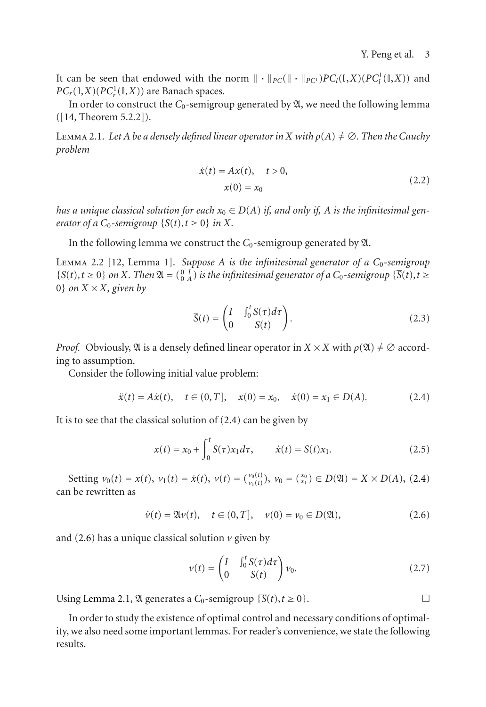It can be seen that endowed with the norm  $\| \cdot \|_{PC}(\| \cdot \|_{PC}) PC_l(\mathbb{I}, X)(PC_l^1(\mathbb{I}, X))$  and  $PC_r(\mathbb{I}, X)(PC_r^1(\mathbb{I}, X))$  are Banach spaces.

<span id="page-2-3"></span>In order to construct the  $C_0$ -semigroup generated by  $\mathfrak{A}$ , we need the following lemma ([\[14](#page-16-5), Theorem 5.2.2]).

LEMMA 2.1. Let *A* be a densely defined linear operator in *X* with  $\rho(A) \neq \emptyset$ . Then the Cauchy *problem*

$$
\dot{x}(t) = Ax(t), \quad t > 0,\nx(0) = x_0
$$
\n(2.2)

*has a unique classical solution for each*  $x_0 \in D(A)$  *if, and only if, A is the infinitesimal generator of a*  $C_0$ -semigroup  $\{S(t), t \ge 0\}$  *in*  $X$ *.* 

<span id="page-2-0"></span>In the following lemma we construct the  $C_0$ -semigroup generated by  $\mathfrak{A}$ .

Lemma 2.2 [\[12](#page-16-3), Lemma 1]. *Suppose A is the infinitesimal generator of a C*0*-semigroup*  ${S(t), t \ge 0}$  *on X. Then*  $\mathfrak{A} = \begin{pmatrix} 0 & I \\ 0 & A \end{pmatrix}$  *is the infinitesimal generator of a*  $C_0$ -*semigroup*  ${\overline{S(t), t \ge 0}}$ 0} *on*  $X \times X$ *, given by* 

<span id="page-2-1"></span>
$$
\overline{S}(t) = \begin{pmatrix} I & \int_0^t S(\tau) d\tau \\ 0 & S(t) \end{pmatrix}.
$$
 (2.3)

*Proof.* Obviously,  $\mathfrak A$  is a densely defined linear operator in  $X \times X$  with  $\rho(\mathfrak A) \neq \emptyset$  according to assumption.

Consider the following initial value problem:

$$
\ddot{x}(t) = A\dot{x}(t), \quad t \in (0, T], \quad x(0) = x_0, \quad \dot{x}(0) = x_1 \in D(A). \tag{2.4}
$$

It is to see that the classical solution of [\(2.4\)](#page-2-1) can be given by

$$
x(t) = x_0 + \int_0^t S(\tau) x_1 d\tau, \qquad \dot{x}(t) = S(t) x_1.
$$
 (2.5)

Setting  $v_0(t) = x(t)$ ,  $v_1(t) = \dot{x}(t)$ ,  $v(t) = \begin{pmatrix} v_0(t) \\ v_1(t) \end{pmatrix}$ ,  $v_0 = \begin{pmatrix} x_0 \\ x_1 \end{pmatrix} \in D(\mathfrak{A}) = X \times D(A)$ , [\(2.4\)](#page-2-1) can be rewritten as

$$
\dot{v}(t) = \mathfrak{A}v(t), \quad t \in (0, T], \quad v(0) = v_0 \in D(\mathfrak{A}), \tag{2.6}
$$

and  $(2.6)$  has a unique classical solution  $\nu$  given by

<span id="page-2-2"></span>
$$
v(t) = \begin{pmatrix} I & \int_0^t S(\tau) d\tau \\ 0 & S(t) \end{pmatrix} v_0.
$$
 (2.7)

Using [Lemma 2.1,](#page-2-3)  $\mathfrak A$  generates a  $C_0$ -semigroup  $\{\overline{S}(t), t \geq 0\}$ .

<span id="page-2-4"></span>In order to study the existence of optimal control and necessary conditions of optimality, we also need some important lemmas. For reader's convenience, we state the following results.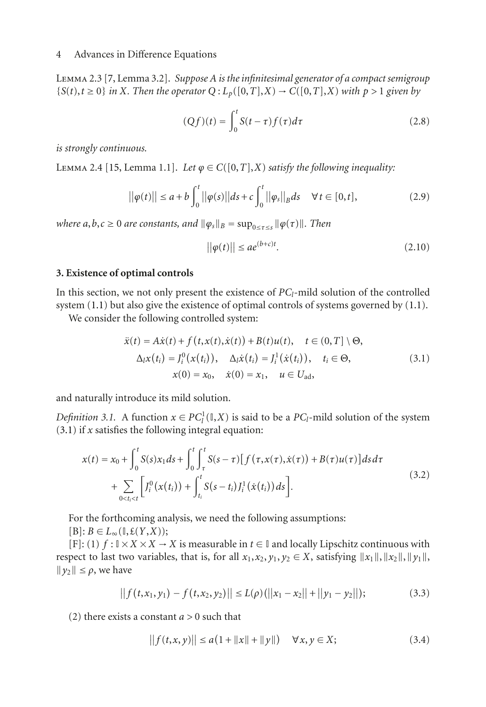Lemma 2.3 [\[7,](#page-16-6) Lemma 3.2]. *Suppose A is the infinitesimal generator of a compact semigroup*  ${S(t), t \geq 0}$  *in X. Then the operator*  $Q: L_p([0, T], X) \to C([0, T], X)$  *with*  $p > 1$  *given by* 

$$
(Qf)(t) = \int_0^t S(t-\tau)f(\tau)d\tau
$$
\n(2.8)

<span id="page-3-2"></span>*is strongly continuous.*

LEMMA 2.4 [\[15,](#page-16-7) Lemma 1.1]. Let  $\varphi \in C([0,T],X)$  *satisfy the following inequality:* 

$$
||\varphi(t)|| \le a + b \int_0^t ||\varphi(s)||ds + c \int_0^t ||\varphi_s||_B ds \quad \forall t \in [0, t],
$$
\n(2.9)

*where*  $a, b, c \ge 0$  *are constants, and*  $\|\varphi_s\|_B = \sup_{0 \le \tau \le s} \|\varphi(\tau)\|$ *. Then* 

<span id="page-3-1"></span>
$$
||\varphi(t)|| \le a e^{(b+c)t}.\tag{2.10}
$$

### <span id="page-3-0"></span>**3. Existence of optimal controls**

In this section, we not only present the existence of  $PC_l$ -mild solution of the controlled system  $(1.1)$  but also give the existence of optimal controls of systems governed by  $(1.1)$ .

We consider the following controlled system:

$$
\ddot{x}(t) = A\dot{x}(t) + f(t, x(t), \dot{x}(t)) + B(t)u(t), \quad t \in (0, T] \setminus \Theta,
$$
  
\n
$$
\Delta_l x(t_i) = J_i^0(x(t_i)), \quad \Delta_l \dot{x}(t_i) = J_i^1(\dot{x}(t_i)), \quad t_i \in \Theta,
$$
  
\n
$$
x(0) = x_0, \quad \dot{x}(0) = x_1, \quad u \in U_{ad},
$$
\n(3.1)

and naturally introduce its mild solution.

*Definition 3.1.* A function  $x \in PC_l^1(\mathbb{I}, X)$  is said to be a  $PC_l$ -mild solution of the system [\(3.1\)](#page-3-1) if *x* satisfies the following integral equation:

$$
x(t) = x_0 + \int_0^t S(s)x_1 ds + \int_0^t \int_\tau^t S(s-\tau) [f(\tau, x(\tau), \dot{x}(\tau)) + B(\tau)u(\tau)] ds d\tau + \sum_{0 \le t_i \le t} [J_i^0(x(t_i)) + \int_{t_i}^t S(s-t_i)J_i^1(\dot{x}(t_i)) ds].
$$
\n(3.2)

For the forthcoming analysis, we need the following assumptions:

 $[B]$ :  $B \in L_{\infty}(\mathbb{I}, \mathcal{E}(Y,X));$ 

[F]: (1)  $f: \mathbb{I} \times X \times X \to X$  is measurable in  $t \in \mathbb{I}$  and locally Lipschitz continuous with respect to last two variables, that is, for all  $x_1, x_2, y_1, y_2 \in X$ , satisfying  $||x_1||, ||x_2||, ||y_1||$ ,  $||y_2|| \leq \rho$ , we have

$$
|| f(t, x_1, y_1) - f(t, x_2, y_2)|| \le L(\rho) (||x_1 - x_2|| + ||y_1 - y_2||); \qquad (3.3)
$$

(2) there exists a constant *a >* 0 such that

$$
||f(t, x, y)|| \le a(1 + ||x|| + ||y||) \quad \forall x, y \in X;
$$
 (3.4)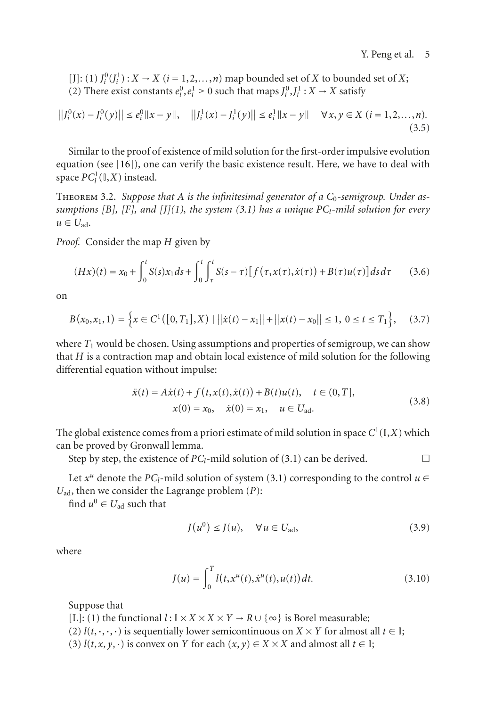$[J]$ : (1)  $J_i^0$  ( $J_i^1$ ) :  $X \to X$  ( $i = 1, 2, \ldots, n$ ) map bounded set of *X* to bounded set of *X*; (2) There exist constants  $e_i^0, e_i^1 \ge 0$  such that maps  $J_i^0, J_i^1 : X \to X$  satisfy

$$
||J_i^0(x) - J_i^0(y)|| \le e_i^0 ||x - y||, \quad ||J_i^1(x) - J_i^1(y)|| \le e_i^1 ||x - y|| \quad \forall x, y \in X \ (i = 1, 2, ..., n).
$$
\n(3.5)

Similar to the proof of existence of mild solution for the first-order impulsive evolution equation (see [\[16](#page-16-8)]), one can verify the basic existence result. Here, we have to deal with space  $PC_l^1(\mathbb{I}, X)$  instead.

<span id="page-4-0"></span>Theorem 3.2. *Suppose that A is the infinitesimal generator of a C*0*-semigroup. Under assumptions [B], [F], and [J](1), the system [\(3.1\)](#page-3-1) has a unique PCl-mild solution for every*  $u \in U_{\rm ad.}$ 

*Proof.* Consider the map *H* given by

$$
(Hx)(t) = x_0 + \int_0^t S(s)x_1 ds + \int_0^t \int_\tau^t S(s-\tau) [f(\tau, x(\tau), \dot{x}(\tau)) + B(\tau)u(\tau)] ds d\tau \qquad (3.6)
$$

on

$$
B(x_0, x_1, 1) = \left\{ x \in C^1([0, T_1], X) \mid ||\dot{x}(t) - x_1|| + ||x(t) - x_0|| \le 1, 0 \le t \le T_1 \right\}, \quad (3.7)
$$

where  $T_1$  would be chosen. Using assumptions and properties of semigroup, we can show that *H* is a contraction map and obtain local existence of mild solution for the following differential equation without impulse:

$$
\ddot{x}(t) = A\dot{x}(t) + f(t, x(t), \dot{x}(t)) + B(t)u(t), \quad t \in (0, T],
$$
  
\n
$$
x(0) = x_0, \quad \dot{x}(0) = x_1, \quad u \in U_{ad}.
$$
\n(3.8)

The global existence comes from a priori estimate of mild solution in space  $C^1(\mathbb{I},X)$  which can be proved by Gronwall lemma.

Step by step, the existence of  $PC_l$ -mild solution of [\(3.1\)](#page-3-1) can be derived.

Let  $x^u$  denote the *PC*<sub>*l*</sub>-mild solution of system [\(3.1\)](#page-3-1) corresponding to the control  $u \in$ *U*ad, then we consider the Lagrange problem (*P*):

find  $u^0 \in U_{ad}$  such that

$$
J(u^0) \le J(u), \quad \forall u \in U_{\text{ad}}, \tag{3.9}
$$

where

$$
J(u) = \int_0^T l(t, x^u(t), \dot{x}^u(t), u(t)) dt.
$$
 (3.10)

Suppose that

[L]: (1) the functional  $l : \mathbb{I} \times X \times X \times Y \rightarrow R \cup \{\infty\}$  is Borel measurable;

- (2)  $l(t, \cdot, \cdot, \cdot)$  is sequentially lower semicontinuous on  $X \times Y$  for almost all  $t \in \mathbb{I}$ ;
- (3)  $l(t, x, y, \cdot)$  is convex on *Y* for each  $(x, y) \in X \times X$  and almost all  $t \in I$ ;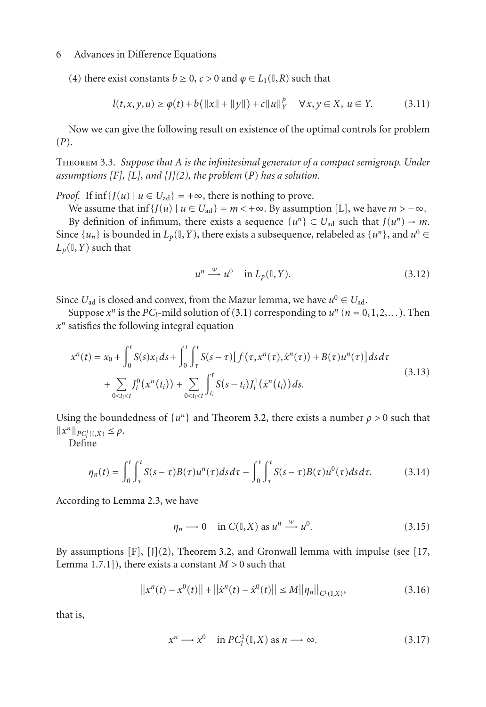(4) there exist constants  $b \ge 0$ ,  $c > 0$  and  $\varphi \in L_1(\mathbb{I}, R)$  such that

$$
l(t, x, y, u) \ge \varphi(t) + b(||x|| + ||y||) + c||u||_Y^p \quad \forall x, y \in X, \ u \in Y. \tag{3.11}
$$

Now we can give the following result on existence of the optimal controls for problem (*P*).

Theorem 3.3. *Suppose that A is the infinitesimal generator of a compact semigroup. Under assumptions [F], [L], and [J](2), the problem* (*P*) *has a solution.*

*Proof.* If  $\inf \{ J(u) \mid u \in U_{ad} \} = +\infty$ , there is nothing to prove.

We assume that inf  $\{J(u) \mid u \in U_{ad}\} = m < +\infty$ . By assumption [L], we have  $m > -\infty$ . By definition of infimum, there exists a sequence  $\{u^n\} \subset U_{ad}$  such that  $J(u^n) \to m$ .

Since  $\{u_n\}$  is bounded in  $L_p(\mathbb{I}, Y)$ , there exists a subsequence, relabeled as  $\{u^n\}$ , and  $u^0 \in$  $L_p(\mathbb{I}, Y)$  such that

$$
u^n \xrightarrow{w} u^0 \quad \text{in } L_p(\mathbb{I}, Y). \tag{3.12}
$$

Since  $U_{\text{ad}}$  is closed and convex, from the Mazur lemma, we have  $u^0 \in U_{\text{ad}}$ .

Suppose  $x^n$  is the *PC*<sub>*l*</sub>-mild solution of [\(3.1\)](#page-3-1) corresponding to  $u^n$  ( $n = 0, 1, 2, \ldots$ ). Then *x<sup>n</sup>* satisfies the following integral equation

$$
x^{n}(t) = x_{0} + \int_{0}^{t} S(s)x_{1}ds + \int_{0}^{t} \int_{\tau}^{t} S(s-\tau)[f(\tau,x^{n}(\tau),\dot{x}^{n}(\tau)) + B(\tau)u^{n}(\tau)]dsd\tau
$$
  
+ 
$$
\sum_{0 \le t_{i} \le t} J_{i}^{0}(x^{n}(t_{i})) + \sum_{0 \le t_{i} \le t} \int_{t_{i}}^{t} S(s-t_{i})J_{i}^{1}(\dot{x}^{n}(t_{i}))ds.
$$
 (3.13)

Using the boundedness of  $\{u^n\}$  and [Theorem 3.2,](#page-4-0) there exists a number  $\rho > 0$  such that  $||x^n||_{PC_l^1(\mathbb{I},X)} \leq \rho.$ 

Define

$$
\eta_n(t) = \int_0^t \int_\tau^t S(s-\tau)B(\tau)u^n(\tau)ds d\tau - \int_0^t \int_\tau^t S(s-\tau)B(\tau)u^0(\tau)ds d\tau.
$$
 (3.14)

According to [Lemma 2.3,](#page-2-4) we have

$$
\eta_n \longrightarrow 0 \quad \text{in } C(\mathbb{I}, X) \text{ as } u^n \xrightarrow{w} u^0. \tag{3.15}
$$

By assumptions  $[F]$ ,  $[J](2)$ , [Theorem 3.2,](#page-4-0) and Gronwall lemma with impulse (see [\[17,](#page-16-9) Lemma 1.7.1]), there exists a constant *M >* 0 such that

$$
||x^{n}(t) - x^{0}(t)|| + ||\dot{x}^{n}(t) - \dot{x}^{0}(t)|| \leq M||\eta_{n}||_{C^{1}(\mathbb{I},X)}, \qquad (3.16)
$$

that is,

$$
x^n \longrightarrow x^0 \quad \text{in } PC^1_l(\mathbb{I}, X) \text{ as } n \longrightarrow \infty. \tag{3.17}
$$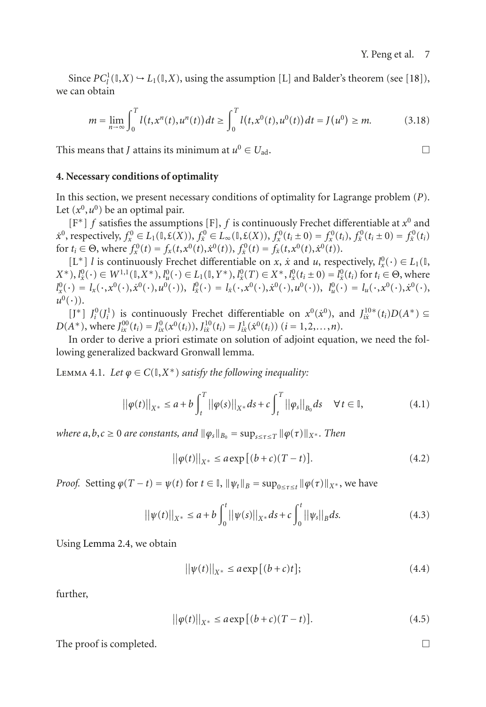Since  $PC_l^1(\mathbb{I}, X) \hookrightarrow L_1(\mathbb{I}, X)$ , using the assumption [L] and Balder's theorem (see [\[18](#page-16-10)]), we can obtain

$$
m = \lim_{n \to \infty} \int_0^T l(t, x^n(t), u^n(t)) dt \ge \int_0^T l(t, x^0(t), u^0(t)) dt = J(u^0) \ge m.
$$
 (3.18)

This means that *J* attains its minimum at  $u^0 \in U_{ad}$ .

#### <span id="page-6-0"></span>**4. Necessary conditions of optimality**

In this section, we present necessary conditions of optimality for Lagrange problem (*P*). Let  $(x^0, u^0)$  be an optimal pair.

[F∗] *f* satisfies the assumptions [F], *f* is continuously Frechet differentiable at *x*<sup>0</sup> and  $\dot{x}^0$ , respectively,  $f_x^0 \in L_1(0, \mathfrak{E}(X))$ ,  $f_x^0 \in L_\infty(0, \mathfrak{E}(X))$ ,  $f_x^0(t_i \pm 0) = f_x^0(t_i)$ ,  $f_x^0(t_i \pm 0) = f_x^0(t_i)$ for  $t_i \in \Theta$ , where  $f_x^0(t) = f_x(t, x^0(t), \dot{x}^0(t))$ ,  $f_x^0(t) = f_x(t, x^0(t), \dot{x}^0(t))$ .

[L<sup>∗</sup>] *l* is continuously Frechet differentiable on *x*, *x*<sup></sup> and *u*, respectively,  $l_x^0(·) \in L_1(ℝ)$ ,  $(X^*), l^0_{\mathfrak{X}}(\cdot) \in W^{1,1}(\mathbb{I}, X^*), l^0_{\mathfrak{U}}(\cdot) \in L_1(\mathbb{I}, Y^*), l^0_{\mathfrak{X}}(T) \in X^*, l^0_{\mathfrak{X}}(t_i \pm 0) = l^0_{\mathfrak{X}}(t_i)$  for  $t_i \in \Theta$ , where  $l_x^0(\cdot) = l_x(\cdot, x^0(\cdot), \dot{x}^0(\cdot), u^0(\cdot)), \ \ l_x^0(\cdot) = l_x(\cdot, x^0(\cdot), \dot{x}^0(\cdot), u^0(\cdot)), \ \ l_u^0(\cdot) = l_u(\cdot, x^0(\cdot), \dot{x}^0(\cdot), u^0(\cdot))$  $u^0(\cdot)$ ).

[J<sup>\*</sup>]  $J_i^0$ ( $J_i^1$ ) is continuously Frechet differentiable on  $x^0(x^0)$ , and  $J_{ix}^{10*}(t_i)D(A^*)$  ⊆  $D(A^*)$ , where  $J_{ix}^{00}(t_i) = J_{ix}^0(x^0(t_i)), J_{ix}^{10}(t_i) = J_{ix}^1(\dot{x}^0(t_i))$  (*i* = 1,2,...,*n*).

<span id="page-6-1"></span>In order to derive a priori estimate on solution of adjoint equation, we need the following generalized backward Gronwall lemma.

LEMMA 4.1. Let  $\varphi \in C(\mathbb{I}, X^*)$  *satisfy the following inequality:* 

$$
||\varphi(t)||_{X^*} \le a + b \int_t^T ||\varphi(s)||_{X^*} ds + c \int_t^T ||\varphi_s||_{B_0} ds \quad \forall t \in \mathbb{I},
$$
\n(4.1)

*where*  $a, b, c \ge 0$  *are constants, and*  $\|\varphi_s\|_{B_0} = \sup_{s \le \tau \le T} \|\varphi(\tau)\|_{X^*}$ *. Then* 

$$
||\varphi(t)||_{X^*} \le a \exp[(b+c)(T-t)].
$$
\n(4.2)

*Proof.* Setting  $\varphi(T - t) = \psi(t)$  for  $t \in \mathbb{I}$ ,  $\|\psi_t\|_B = \sup_{0 \le \tau \le t} \|\varphi(\tau)\|_{X^*}$ , we have

$$
||\psi(t)||_{X^*} \le a + b \int_0^t ||\psi(s)||_{X^*} ds + c \int_0^t ||\psi_s||_B ds.
$$
 (4.3)

Using [Lemma 2.4,](#page-3-2) we obtain

$$
\left| |\psi(t)| \right|_{X^*} \le a \exp\left[ (b+c)t \right];\tag{4.4}
$$

further,

$$
||\varphi(t)||_{X^*} \le a \exp[(b+c)(T-t)].
$$
\n(4.5)

The proof is completed.  $\Box$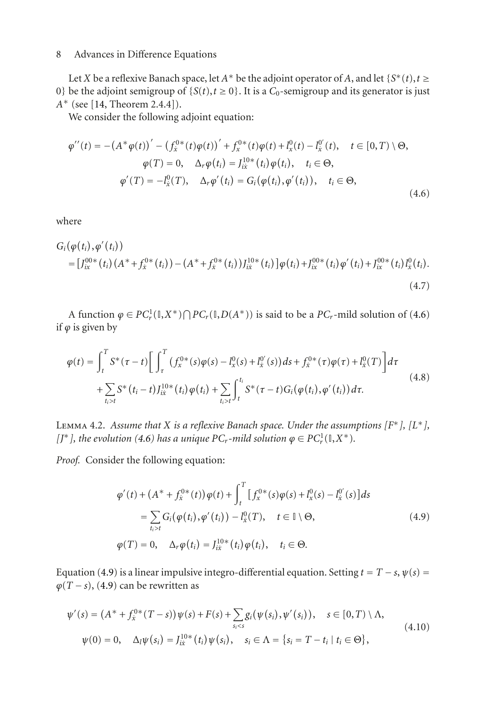Let *X* be a reflexive Banach space, let  $A^*$  be the adjoint operator of *A*, and let  $\{S^*(t), t \geq 0\}$ 0} be the adjoint semigroup of  $\{S(t), t \ge 0\}$ . It is a  $C_0$ -semigroup and its generator is just *A*<sup>∗</sup> (see [\[14,](#page-16-5) Theorem 2.4.4]).

We consider the following adjoint equation:

<span id="page-7-1"></span>
$$
\varphi''(t) = -(A^* \varphi(t))' - (f_{\tilde{x}}^{0*}(t) \varphi(t))' + f_{\tilde{x}}^{0*}(t) \varphi(t) + l_{\tilde{x}}^{0}(t) - l_{\tilde{x}}^{0}(t), \quad t \in [0, T) \setminus \Theta,
$$
  

$$
\varphi(T) = 0, \quad \Delta_r \varphi(t_i) = J_{\tilde{x}}^{10*}(t_i) \varphi(t_i), \quad t_i \in \Theta,
$$
  

$$
\varphi'(T) = -l_{\tilde{x}}^{0}(T), \quad \Delta_r \varphi'(t_i) = G_i(\varphi(t_i), \varphi'(t_i)), \quad t_i \in \Theta,
$$
\n(4.6)

where

$$
G_i(\varphi(t_i), \varphi'(t_i)) = [J_{ix}^{00*}(t_i) (A^* + f_x^{0*}(t_i)) - (A^* + f_x^{0*}(t_i)) J_{ix}^{10*}(t_i) \varphi(t_i) + J_{ix}^{00*}(t_i) \varphi'(t_i) + J_{ix}^{00*}(t_i) I_x^0(t_i). \tag{4.7}
$$

A function  $\varphi \in PC_r^1(\mathbb{I}, X^*) \cap PC_r(\mathbb{I}, D(A^*))$  is said to be a  $PC_r$ -mild solution of [\(4.6\)](#page-7-1) if  $\varphi$  is given by

$$
\varphi(t) = \int_{t}^{T} S^{*}(\tau - t) \Bigg[ \int_{\tau}^{T} (f_{x}^{0*}(s)\varphi(s) - l_{x}^{0}(s) + l_{x}^{0}(s))ds + f_{x}^{0*}(\tau)\varphi(\tau) + l_{x}^{0}(T) \Bigg] d\tau + \sum_{t_{i}>t} S^{*}(t_{i} - t) J_{ix}^{10*}(t_{i}) \varphi(t_{i}) + \sum_{t_{i}>t} \int_{t}^{t_{i}} S^{*}(\tau - t) G_{i}(\varphi(t_{i}), \varphi'(t_{i})) d\tau.
$$
\n(4.8)

<span id="page-7-4"></span>Lemma 4.2. *Assume that X is a reflexive Banach space. Under the assumptions [F*∗*], [L*∗*], [J\*],* the evolution [\(4.6\)](#page-7-1) has a unique  $PC_r$ -mild solution  $\varphi \in PC_r^1(\mathbb{I}, X^*)$ .

*Proof.* Consider the following equation:

<span id="page-7-3"></span><span id="page-7-2"></span><span id="page-7-0"></span>
$$
\varphi'(t) + (A^* + f_x^{0*}(t))\varphi(t) + \int_t^T \left[ f_x^{0*}(s)\varphi(s) + l_x^0(s) - l_x^{0'}(s) \right] ds
$$
  
\n
$$
= \sum_{t_i > t} G_i(\varphi(t_i), \varphi'(t_i)) - l_x^0(T), \quad t \in \mathbb{I} \setminus \Theta,
$$
  
\n
$$
\varphi(T) = 0, \quad \Delta_r \varphi(t_i) = J_{ix}^{10*}(t_i)\varphi(t_i), \quad t_i \in \Theta.
$$
\n(4.9)

Equation [\(4.9\)](#page-7-0) is a linear impulsive integro-differential equation. Setting  $t = T - s$ ,  $\psi(s) =$  $\varphi(T - s)$ , [\(4.9\)](#page-7-0) can be rewritten as

$$
\psi'(s) = (A^* + f_x^{0*}(T - s))\psi(s) + F(s) + \sum_{s_i < s} g_i(\psi(s_i), \psi'(s_i)), \quad s \in [0, T) \setminus \Lambda,
$$
  

$$
\psi(0) = 0, \quad \Delta_i \psi(s_i) = J_{ix}^{10*}(t_i) \psi(s_i), \quad s_i \in \Lambda = \{s_i = T - t_i \mid t_i \in \Theta\},
$$
\n(4.10)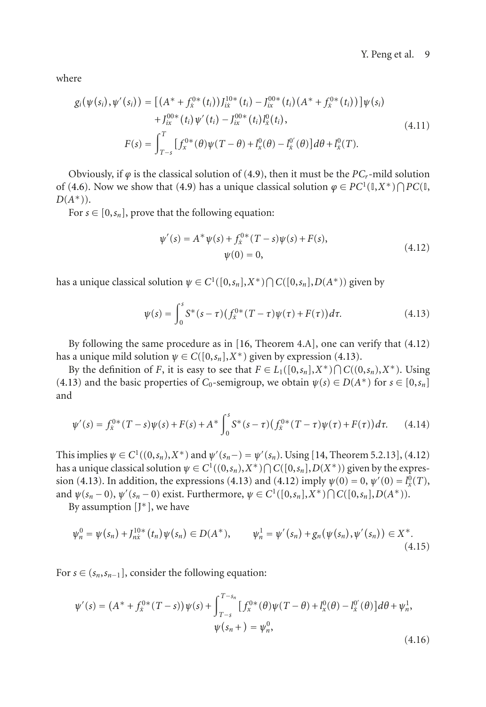where

$$
g_i(\psi(s_i), \psi'(s_i)) = \left[ (A^* + f_x^{0*}(t_i)) J_{ix}^{10*}(t_i) - J_{ix}^{00*}(t_i) (A^* + f_x^{0*}(t_i)) \right] \psi(s_i)
$$
  
+ 
$$
J_{ix}^{00*}(t_i) \psi'(t_i) - J_{ix}^{00*}(t_i) I_x^0(t_i),
$$
  
+ 
$$
F(s) = \int_{T-s}^T \left[ f_x^{0*}(\theta) \psi(T-\theta) + I_x^0(\theta) - I_x^{0'}(\theta) \right] d\theta + I_x^0(T).
$$
 (4.11)

Obviously, if  $\varphi$  is the classical solution of [\(4.9\)](#page-7-0), then it must be the *PC<sub>r</sub>*-mild solution of [\(4.6\)](#page-7-1). Now we show that [\(4.9\)](#page-7-0) has a unique classical solution  $\varphi \in PC^1(\mathbb{I}, X^*) \cap PC(\mathbb{I},$ *D*(*A*∗)).

For  $s \in [0, s_n]$ , prove that the following equation:

<span id="page-8-1"></span><span id="page-8-0"></span>
$$
\psi'(s) = A^* \psi(s) + f_x^{0*} (T - s) \psi(s) + F(s),
$$
  
\n
$$
\psi(0) = 0,
$$
\n(4.12)

has a unique classical solution  $\psi \in C^1([0,s_n],X^*) \cap C([0,s_n],D(A^*))$  given by

$$
\psi(s) = \int_0^s S^*(s-\tau) \left( f_{\hat{x}}^{0*}(T-\tau)\psi(\tau) + F(\tau) \right) d\tau.
$$
 (4.13)

By following the same procedure as in [\[16](#page-16-8), Theorem 4.A], one can verify that [\(4.12\)](#page-8-0) has a unique mild solution  $\psi \in C([0,s_n],X^*)$  given by expression [\(4.13\)](#page-8-1).

By the definition of *F*, it is easy to see that  $F \in L_1([0,s_n],X^*) \cap C((0,s_n),X^*)$ . Using [\(4.13\)](#page-8-1) and the basic properties of  $C_0$ -semigroup, we obtain  $\psi(s) \in D(A^*)$  for  $s \in [0, s_n]$ and

$$
\psi'(s) = f_x^{0*}(T-s)\psi(s) + F(s) + A^* \int_0^s S^*(s-\tau)(f_x^{0*}(T-\tau)\psi(\tau) + F(\tau))d\tau.
$$
 (4.14)

This implies  $\psi \in C^1((0,s_n),X^*)$  and  $\psi'(s_n-) = \psi'(s_n)$ . Using [\[14](#page-16-5), Theorem 5.2.13], [\(4.12\)](#page-8-0) has a unique classical solution  $\psi \in C^1((0,s_n),X^*) \cap C([0,s_n],D(X^*))$  given by the expres-sion [\(4.13\)](#page-8-1). In addition, the expressions (4.13) and [\(4.12\)](#page-8-0) imply  $\psi(0) = 0$ ,  $\psi'(0) = l_x^0(T)$ , and  $\psi(s_n - 0)$ ,  $\psi'(s_n - 0)$  exist. Furthermore,  $\psi \in C^1([0, s_n], X^*) \cap C([0, s_n], D(A^*)$ .

By assumption  $[I^*]$ , we have

$$
\psi_n^0 = \psi(s_n) + J_{n\dot{x}}^{10*}(t_n)\psi(s_n) \in D(A^*), \qquad \psi_n^1 = \psi'(s_n) + g_n(\psi(s_n), \psi'(s_n)) \in X^*.
$$
\n(4.15)

For  $s \in (s_n, s_{n-1}]$ , consider the following equation:

$$
\psi'(s) = (A^* + f_x^{0*}(T - s))\psi(s) + \int_{T-s}^{T-s_n} [f_x^{0*}(\theta)\psi(T - \theta) + l_x^0(\theta) - l_x^{0'}(\theta)]d\theta + \psi_n^1,\n\psi(s_n +) = \psi_n^0,
$$
\n(4.16)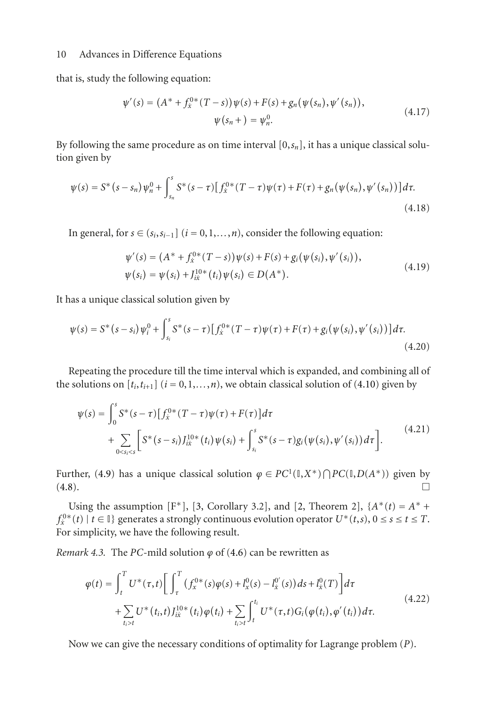that is, study the following equation:

$$
\psi'(s) = (A^* + f_x^{0*}(T - s))\psi(s) + F(s) + g_n(\psi(s_n), \psi'(s_n)),
$$
  

$$
\psi(s_n + ) = \psi_n^0.
$$
 (4.17)

By following the same procedure as on time interval  $[0, s_n]$ , it has a unique classical solution given by

$$
\psi(s) = S^*(s - s_n)\psi_n^0 + \int_{s_n}^s S^*(s - \tau) \left[ f_x^{0*}(T - \tau)\psi(\tau) + F(\tau) + g_n(\psi(s_n), \psi'(s_n)) \right] d\tau.
$$
\n(4.18)

In general, for  $s \in (s_i, s_{i-1}]$  ( $i = 0, 1, \ldots, n$ ), consider the following equation:

$$
\psi'(s) = (A^* + f_x^{0*}(T - s))\psi(s) + F(s) + g_i(\psi(s_i), \psi'(s_i)),
$$
  
\n
$$
\psi(s_i) = \psi(s_i) + J_{ik}^{10*}(t_i)\psi(s_i) \in D(A^*).
$$
\n(4.19)

It has a unique classical solution given by

$$
\psi(s) = S^*(s - s_i)\psi_i^0 + \int_{s_i}^s S^*(s - \tau) \left[ \int_{\dot{x}}^{0*} (T - \tau)\psi(\tau) + F(\tau) + g_i(\psi(s_i), \psi'(s_i)) \right] d\tau.
$$
\n(4.20)

Repeating the procedure till the time interval which is expanded, and combining all of the solutions on  $[t_i, t_{i+1}]$  ( $i = 0, 1, \ldots, n$ ), we obtain classical solution of [\(4.10\)](#page-7-2) given by

$$
\psi(s) = \int_0^s S^*(s-\tau) \left[ f_x^{0*}(T-\tau)\psi(\tau) + F(\tau) \right] d\tau + \sum_{0 < s_i < s} \left[ S^*(s-s_i) J_{ix}^{10*}(t_i) \psi(s_i) + \int_{s_i}^s S^*(s-\tau) g_i(\psi(s_i), \psi'(s_i)) d\tau \right].
$$
\n(4.21)

Further, [\(4.9\)](#page-7-0) has a unique classical solution  $\varphi \in PC^1(\mathbb{I}, X^*) \cap PC(\mathbb{I}, D(A^*))$  given by  $(4.8).$  $(4.8).$ 

Using the assumption [F<sup>\*</sup>], [\[3,](#page-15-3) Corollary 3.2], and [\[2,](#page-15-2) Theorem 2],  ${A^*(t) = A^* +$ *f*<sup>0∗</sup>(*t*) | *t* ∈ **I**} generates a strongly continuous evolution operator  $U^*(t,s)$ , 0 ≤ *s* ≤ *t* ≤ *T*. For simplicity, we have the following result.

*Remark 4.3.* The *PC*-mild solution  $\varphi$  of [\(4.6\)](#page-7-1) can be rewritten as

$$
\varphi(t) = \int_{t}^{T} U^{*}(\tau, t) \Bigg[ \int_{\tau}^{T} (f_{x}^{0*}(s)\varphi(s) + l_{x}^{0}(s) - l_{x}^{0'}(s))ds + l_{x}^{0}(T) \Bigg] d\tau + \sum_{t_{i} > t} U^{*}(t_{i}, t) J_{ix}^{10*}(t_{i}) \varphi(t_{i}) + \sum_{t_{i} > t} \int_{t}^{t_{i}} U^{*}(\tau, t) G_{i}(\varphi(t_{i}), \varphi'(t_{i})) d\tau.
$$
\n(4.22)

Now we can give the necessary conditions of optimality for Lagrange problem (*P*).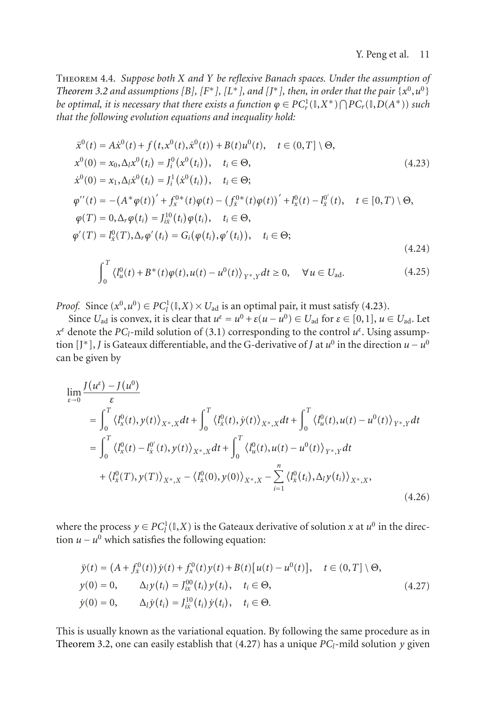Theorem 4.4. *Suppose both X and Y be reflexive Banach spaces. Under the assumption of [Theorem 3.2](#page-4-0) and assumptions [B], [F<sup>\*</sup>], [L<sup>\*</sup>], and [J<sup>\*</sup>], then, in order that the pair {* $x^0, u^0$ *} be optimal, it is necessary that there exists a function*  $\varphi \in PC_r^1(\mathbb{I}, X^*) \bigcap PC_r(\mathbb{I}, D(A^*))$  *such that the following evolution equations and inequality hold:*

$$
\dot{x}^{0}(t) = A\dot{x}^{0}(t) + f(t, x^{0}(t), \dot{x}^{0}(t)) + B(t)u^{0}(t), \quad t \in (0, T] \setminus \Theta,
$$
\n
$$
x^{0}(0) = x_{0}, \Delta_{l}x^{0}(t_{i}) = J_{i}^{0}(x^{0}(t_{i})), \quad t_{i} \in \Theta,
$$
\n
$$
\dot{x}^{0}(0) = x_{1}, \Delta_{l}\dot{x}^{0}(t_{i}) = J_{i}^{1}(\dot{x}^{0}(t_{i})), \quad t_{i} \in \Theta;
$$
\n
$$
\varphi''(t) = -(A^{*}\varphi(t))' + f_{x}^{0*}(t)\varphi(t) - (f_{x}^{0*}(t)\varphi(t))' + I_{x}^{0}(t) - I_{x}^{0'}(t), \quad t \in [0, T) \setminus \Theta,
$$
\n
$$
\varphi(T) = 0, \Delta_{r}\varphi(t_{i}) = J_{i\omega}^{10}(t_{i})\varphi(t_{i}), \quad t_{i} \in \Theta,
$$
\n
$$
\varphi'(T) = I_{x}^{0}(T), \Delta_{r}\varphi'(t_{i}) = G_{i}(\varphi(t_{i}), \varphi'(t_{i})), \quad t_{i} \in \Theta;
$$
\n(4.24)

<span id="page-10-2"></span><span id="page-10-0"></span>
$$
\int_0^T \left\langle l_u^0(t) + B^*(t)\varphi(t), u(t) - u^0(t) \right\rangle_{Y^*,Y} dt \ge 0, \quad \forall u \in U_{ad}.
$$
 (4.25)

*Proof.* Since  $(x^0, u^0) \in PC_l^1(\mathbb{I}, X) \times U_{ad}$  is an optimal pair, it must satisfy [\(4.23\)](#page-10-0).

Since  $U_{ad}$  is convex, it is clear that  $u^{\varepsilon} = u^0 + \varepsilon(u - u^0) \in U_{ad}$  for  $\varepsilon \in [0,1]$ ,  $u \in U_{ad}$ . Let *x*<sup>*ε*</sup> denote the *PC<sub>l</sub>*-mild solution of [\(3.1\)](#page-3-1) corresponding to the control *u<sup>ε</sup>*. Using assumption [J<sup>\*</sup>], *J* is Gateaux differentiable, and the G-derivative of *J* at  $u^0$  in the direction  $u - u^0$ can be given by

$$
\lim_{\varepsilon \to 0} \frac{J(u^{\varepsilon}) - J(u^0)}{\varepsilon} \n= \int_0^T \langle l_x^0(t), y(t) \rangle_{X^*,X} dt + \int_0^T \langle l_x^0(t), \dot{y}(t) \rangle_{X^*,X} dt + \int_0^T \langle l_u^0(t), u(t) - u^0(t) \rangle_{Y^*,Y} dt \n= \int_0^T \langle l_x^0(t) - l_x^{0'}(t), y(t) \rangle_{X^*,X} dt + \int_0^T \langle l_u^0(t), u(t) - u^0(t) \rangle_{Y^*,Y} dt \n+ \langle l_x^0(T), y(T) \rangle_{X^*,X} - \langle l_x^0(0), y(0) \rangle_{X^*,X} - \sum_{i=1}^n \langle l_x^0(t_i), \Delta_i y(t_i) \rangle_{X^*,X},
$$
\n(4.26)

where the process  $y \in PC_l^1(\mathbb{I}, X)$  is the Gateaux derivative of solution *x* at  $u^0$  in the direction  $u - u^0$  which satisfies the following equation:

<span id="page-10-1"></span>
$$
\ddot{y}(t) = (A + f_x^0(t)) \dot{y}(t) + f_x^0(t) y(t) + B(t) [u(t) - u^0(t)], \quad t \in (0, T] \setminus \Theta,
$$
  
\n
$$
y(0) = 0, \qquad \Delta_i y(t_i) = J_{ix}^{00}(t_i) y(t_i), \quad t_i \in \Theta,
$$
  
\n
$$
\dot{y}(0) = 0, \qquad \Delta_i \dot{y}(t_i) = J_{ix}^{10}(t_i) \dot{y}(t_i), \quad t_i \in \Theta.
$$
\n(4.27)

This is usually known as the variational equation. By following the same procedure as in [Theorem 3.2,](#page-4-0) one can easily establish that  $(4.27)$  has a unique  $PC_l$ -mild solution  $y$  given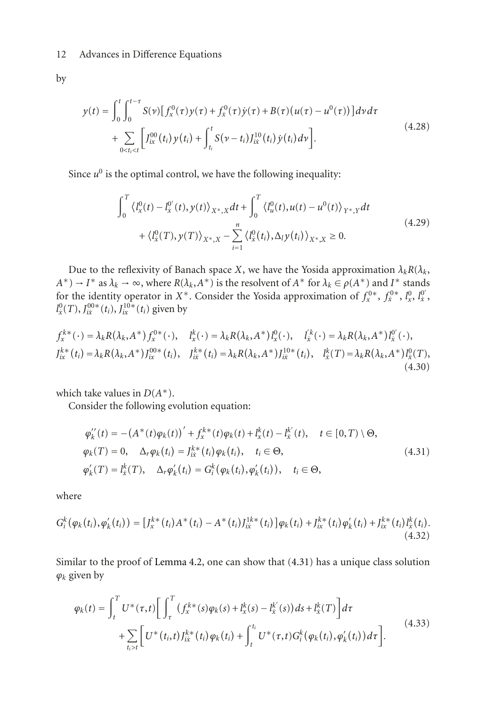by

$$
y(t) = \int_0^t \int_0^{t-\tau} S(\nu) [f_x^0(\tau) y(\tau) + f_x^0(\tau) \dot{y}(\tau) + B(\tau) (u(\tau) - u^0(\tau))] d\nu d\tau + \sum_{0 \le t_i \le t} [f_{ix}^{00}(t_i) y(t_i) + \int_{t_i}^t S(\nu - t_i) J_{ix}^{10}(t_i) \dot{y}(t_i) d\nu].
$$
\n(4.28)

Since  $u^0$  is the optimal control, we have the following inequality:

$$
\int_{0}^{T} \left\langle l_{x}^{0}(t) - l_{x}^{0'}(t), y(t) \right\rangle_{X^{*}, X} dt + \int_{0}^{T} \left\langle l_{u}^{0}(t), u(t) - u^{0}(t) \right\rangle_{Y^{*}, Y} dt + \left\langle l_{x}^{0}(T), y(T) \right\rangle_{X^{*}, X} - \sum_{i=1}^{n} \left\langle l_{x}^{0}(t_{i}), \Delta_{i} y(t_{i}) \right\rangle_{X^{*}, X} \geq 0.
$$
\n(4.29)

Due to the reflexivity of Banach space *X*, we have the Yosida approximation  $\lambda_k R(\lambda_k, \lambda_k)$  $A^*$ ) → *I*<sup>\*</sup> as  $\lambda_k$  → ∞, where  $R(\lambda_k, A^*)$  is the resolvent of  $A^*$  for  $\lambda_k \in \rho(A^*)$  and  $I^*$  stands for the identity operator in *X*<sup>\*</sup>. Consider the Yosida approximation of  $f_x^{0*}$ ,  $f_x^{0*}$ ,  $f_x^{0*}$ ,  $f_y^{0*}$ ,  $f_z^{0*}$  $l_x^0(T)$ ,  $J_{ix}^{00*}(t_i)$ ,  $J_{ix}^{10*}(t_i)$  given by

$$
f_{x}^{k*}(\cdot) = \lambda_{k} R(\lambda_{k}, A^{*}) f_{x}^{0*}(\cdot), \quad l_{x}^{k}(\cdot) = \lambda_{k} R(\lambda_{k}, A^{*}) l_{x}^{0}(\cdot), \quad l_{x}^{k}(\cdot) = \lambda_{k} R(\lambda_{k}, A^{*}) l_{x}^{0}(\cdot),
$$
  
\n
$$
J_{ix}^{k*}(t_{i}) = \lambda_{k} R(\lambda_{k}, A^{*}) J_{ix}^{00*}(t_{i}), \quad J_{ix}^{k*}(t_{i}) = \lambda_{k} R(\lambda_{k}, A^{*}) J_{ix}^{10*}(t_{i}), \quad l_{x}^{k}(T) = \lambda_{k} R(\lambda_{k}, A^{*}) l_{x}^{0}(T),
$$
  
\n(4.30)

which take values in  $D(A^*)$ .

Consider the following evolution equation:

<span id="page-11-0"></span>
$$
\varphi'_{k}(t) = -(A^{*}(t)\varphi_{k}(t))' + f_{x}^{k*}(t)\varphi_{k}(t) + l_{x}^{k}(t) - l_{x}^{k'}(t), \quad t \in [0, T) \setminus \Theta,
$$
  
\n
$$
\varphi_{k}(T) = 0, \quad \Delta_{r}\varphi_{k}(t_{i}) = J_{ik}^{k*}(t_{i})\varphi_{k}(t_{i}), \quad t_{i} \in \Theta,
$$
  
\n
$$
\varphi'_{k}(T) = l_{x}^{k}(T), \quad \Delta_{r}\varphi'_{k}(t_{i}) = G_{i}^{k}(\varphi_{k}(t_{i}), \varphi'_{k}(t_{i})), \quad t_{i} \in \Theta,
$$
\n(4.31)

where

$$
G_i^k(\varphi_k(t_i), \varphi'_k(t_i)) = [J_x^{k*}(t_i)A^*(t_i) - A^*(t_i)J_{ik}^{1k*}(t_i)]\varphi_k(t_i) + J_{ix}^{k*}(t_i)\varphi'_k(t_i) + J_{ix}^{k*}(t_i)J_x^k(t_i). \tag{4.32}
$$

Similar to the proof of [Lemma 4.2,](#page-7-4) one can show that [\(4.31\)](#page-11-0) has a unique class solution *ϕk* given by

<span id="page-11-1"></span>
$$
\varphi_{k}(t) = \int_{t}^{T} U^{*}(\tau, t) \Bigg[ \int_{\tau}^{T} (f_{x}^{k*}(s)\varphi_{k}(s) + l_{x}^{k}(s) - l_{x}^{k'}(s))ds + l_{x}^{k}(T) \Bigg] d\tau + \sum_{t_{i} > t} \Bigg[ U^{*}(t_{i}, t) J_{ix}^{k*}(t_{i}) \varphi_{k}(t_{i}) + \int_{t}^{t_{i}} U^{*}(\tau, t) G_{i}^{k}(\varphi_{k}(t_{i}), \varphi_{k}'(t_{i})) d\tau \Bigg].
$$
\n(4.33)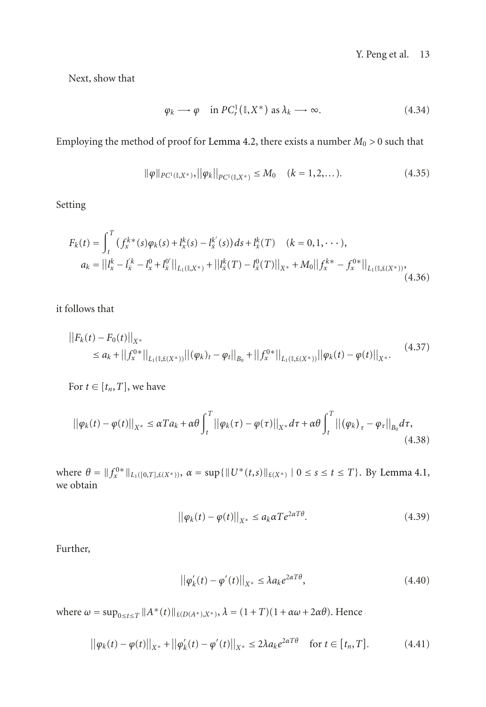Next, show that

$$
\varphi_k \longrightarrow \varphi \quad \text{in } PC^1_r(0, X^*) \text{ as } \lambda_k \longrightarrow \infty. \tag{4.34}
$$

Employing the method of proof for [Lemma 4.2,](#page-7-4) there exists a number  $M_0 > 0$  such that

$$
\|\varphi\|_{PC^1(\mathbb{I},X^*)}, \|\varphi_k\|_{PC^1(\mathbb{I},X^*)} \le M_0 \quad (k=1,2,...). \tag{4.35}
$$

Setting

$$
F_k(t) = \int_t^T (f_x^{k*}(s)\varphi_k(s) + l_x^k(s) - l_x^k'(s))ds + l_x^k(T) \quad (k = 0, 1, \cdots),
$$
  
\n
$$
a_k = ||l_x^k - l_x^k - l_x^0 + l_x^0||_{L_1(I, X^*)} + ||l_x^k(T) - l_x^0(T)||_{X^*} + M_0||f_x^{k*} - f_x^{0*}||_{L_1(I, \mathcal{L}(X^*))},
$$
\n(4.36)

it follows that

$$
||F_k(t) - F_0(t)||_{X^*}
$$
  
\n
$$
\le a_k + ||f_x^{0*}||_{L_1(I, \xi(X^*))} ||(\varphi_k)_t - \varphi_t||_{B_0} + ||f_x^{0*}||_{L_1(I, \xi(X^*))} ||\varphi_k(t) - \varphi(t)||_{X^*}.
$$
\n(4.37)

For  $t \in [t_n, T]$ , we have

$$
\left| \left| \varphi_k(t) - \varphi(t) \right| \right|_{X^*} \le \alpha T a_k + \alpha \theta \int_t^T \left| \left| \varphi_k(\tau) - \varphi(\tau) \right| \right|_{X^*} d\tau + \alpha \theta \int_t^T \left| \left| \left( \varphi_k \right)_{\tau} - \varphi_{\tau} \right| \right|_{B_0} d\tau,
$$
\n(4.38)

where  $\theta = \|f_x^{0*}\|_{L_1([0,T], \xi(X^*))}$ ,  $\alpha = \sup\{\|U^*(t,s)\|_{\xi(X^*)} \mid 0 \le s \le t \le T\}$ . By [Lemma 4.1,](#page-6-1) we obtain

$$
\left| \left| \varphi_k(t) - \varphi(t) \right| \right|_{X^*} \le a_k \alpha T e^{2\alpha T \theta}.
$$
\n(4.39)

Further,

<span id="page-12-0"></span>
$$
\left| \left| \varphi_k'(t) - \varphi'(t) \right| \right|_{X^*} \le \lambda a_k e^{2\alpha T \theta},\tag{4.40}
$$

 $\text{where } ω = \sup_{0 \le t \le T} ||A^*(t)||_{\pounds(D(A^*), X^*)}, \lambda = (1 + T)(1 + αω + 2αθ).$  Hence

$$
||\varphi_k(t) - \varphi(t)||_{X^*} + ||\varphi'_k(t) - \varphi'(t)||_{X^*} \le 2\lambda a_k e^{2\alpha T \theta} \quad \text{for } t \in [t_n, T].
$$
 (4.41)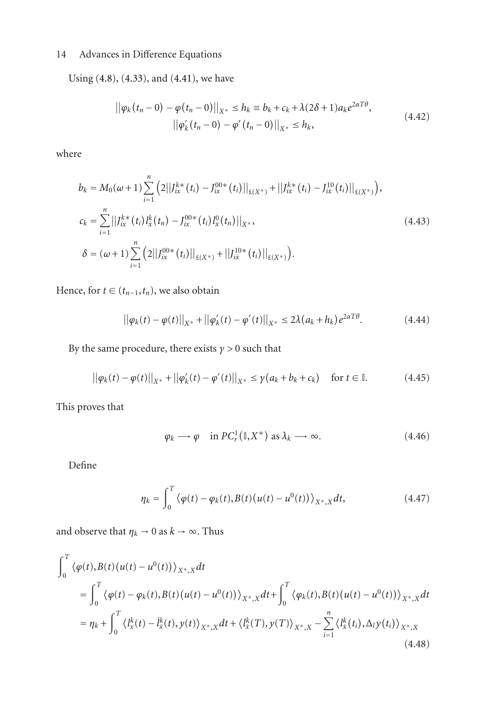Using [\(4.8\)](#page-7-3), [\(4.33\)](#page-11-1), and [\(4.41\)](#page-12-0), we have

$$
||\varphi_k(t_n - 0) - \varphi(t_n - 0)||_{X^*} \le h_k = b_k + c_k + \lambda(2\delta + 1)a_k e^{2\alpha T\theta},
$$
  
 
$$
||\varphi'_k(t_n - 0) - \varphi'(t_n - 0)||_{X^*} \le h_k,
$$
 (4.42)

where

$$
b_k = M_0(\omega + 1) \sum_{i=1}^n \left( 2||J_{ix}^{k*}(t_i) - J_{ix}^{00*}(t_i)||_{\mathfrak{L}(X^*)} + ||J_{ix}^{k*}(t_i) - J_{ix}^{10}(t_i)||_{\mathfrak{L}(X^*)} \right),
$$
  
\n
$$
c_k = \sum_{i=1}^n ||J_{ix}^{k*}(t_i)J_x^k(t_n) - J_{ix}^{00*}(t_i)J_x^0(t_n)||_{X^*},
$$
  
\n
$$
\delta = (\omega + 1) \sum_{i=1}^n \left( 2||J_{ix}^{00*}(t_i)||_{\mathfrak{L}(X^*)} + ||J_{ix}^{10*}(t_i)||_{\mathfrak{L}(X^*)} \right).
$$
\n(4.43)

Hence, for  $t \in (t_{n-1}, t_n)$ , we also obtain

$$
||\varphi_k(t) - \varphi(t)||_{X^*} + ||\varphi_k'(t) - \varphi'(t)||_{X^*} \le 2\lambda (a_k + h_k) e^{2\alpha T \theta}.
$$
 (4.44)

By the same procedure, there exists  $\gamma > 0$  such that

$$
||\varphi_k(t) - \varphi(t)||_{X^*} + ||\varphi'_k(t) - \varphi'(t)||_{X^*} \le \gamma(a_k + b_k + c_k) \quad \text{for } t \in \mathbb{I}.
$$
 (4.45)

This proves that

$$
\varphi_k \longrightarrow \varphi \quad \text{in } PC_r^1(\mathbb{I}, X^*) \text{ as } \lambda_k \longrightarrow \infty. \tag{4.46}
$$

Define

$$
\eta_k = \int_0^T \left\langle \varphi(t) - \varphi_k(t), B(t) \left( u(t) - u^0(t) \right) \right\rangle_{X^*,X} dt, \tag{4.47}
$$

and observe that  $\eta_k \to 0$  as  $k \to \infty$ . Thus

$$
\int_{0}^{T} \langle \varphi(t), B(t) (u(t) - u^{0}(t)) \rangle_{X^{*}, X} dt
$$
\n
$$
= \int_{0}^{T} \langle \varphi(t) - \varphi_{k}(t), B(t) (u(t) - u^{0}(t)) \rangle_{X^{*}, X} dt + \int_{0}^{T} \langle \varphi_{k}(t), B(t) (u(t) - u^{0}(t)) \rangle_{X^{*}, X} dt
$$
\n
$$
= \eta_{k} + \int_{0}^{T} \langle l_{x}^{k}(t) - l_{x}^{k}(t), y(t) \rangle_{X^{*}, X} dt + \langle l_{x}^{k}(T), y(T) \rangle_{X^{*}, X} - \sum_{i=1}^{n} \langle l_{x}^{k}(t_{i}), \Delta_{i} y(t_{i}) \rangle_{X^{*}, X}
$$
\n(4.48)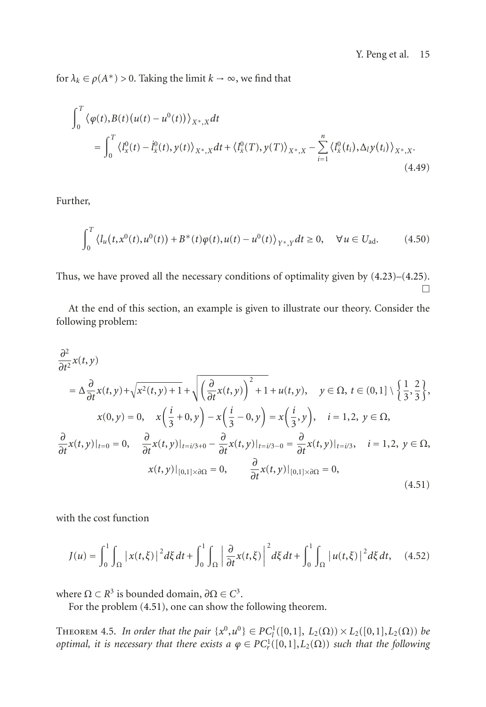for  $\lambda_k \in \rho(A^*) > 0$ . Taking the limit  $k \to \infty$ , we find that

$$
\int_{0}^{T} \langle \varphi(t), B(t) (u(t) - u^{0}(t)) \rangle_{X^{*}, X} dt
$$
\n
$$
= \int_{0}^{T} \langle l_{x}^{0}(t) - l_{x}^{0}(t), y(t) \rangle_{X^{*}, X} dt + \langle l_{x}^{0}(T), y(T) \rangle_{X^{*}, X} - \sum_{i=1}^{n} \langle l_{x}^{0}(t_{i}), \Delta_{i} y(t_{i}) \rangle_{X^{*}, X}. \tag{4.49}
$$

Further,

$$
\int_0^T \left\langle l_u(t, x^0(t), u^0(t)) + B^*(t) \varphi(t), u(t) - u^0(t) \right\rangle_{Y^*,Y} dt \ge 0, \quad \forall u \in U_{ad}.
$$
 (4.50)

Thus, we have proved all the necessary conditions of optimality given by [\(4.23\)](#page-10-0)–[\(4.25\)](#page-10-2).  $\Box$ 

At the end of this section, an example is given to illustrate our theory. Consider the following problem:

$$
\frac{\partial^2}{\partial t^2}x(t,y)
$$
\n
$$
= \Delta \frac{\partial}{\partial t}x(t,y) + \sqrt{x^2(t,y)+1} + \sqrt{\left(\frac{\partial}{\partial t}x(t,y)\right)^2 + 1} + u(t,y), \quad y \in \Omega, t \in (0,1] \setminus \left\{\frac{1}{3}, \frac{2}{3}\right\},
$$
\n
$$
x(0,y) = 0, \quad x\left(\frac{i}{3} + 0, y\right) - x\left(\frac{i}{3} - 0, y\right) = x\left(\frac{i}{3}, y\right), \quad i = 1,2, y \in \Omega,
$$
\n
$$
\frac{\partial}{\partial t}x(t,y)|_{t=0} = 0, \quad \frac{\partial}{\partial t}x(t,y)|_{t=i/3+0} - \frac{\partial}{\partial t}x(t,y)|_{t=i/3-0} = \frac{\partial}{\partial t}x(t,y)|_{t=i/3}, \quad i = 1,2, y \in \Omega,
$$
\n
$$
x(t,y)|_{[0,1] \times \partial\Omega} = 0, \quad \frac{\partial}{\partial t}x(t,y)|_{[0,1] \times \partial\Omega} = 0,
$$
\n(4.51)

with the cost function

<span id="page-14-0"></span>
$$
J(u) = \int_0^1 \int_{\Omega} |x(t,\xi)|^2 d\xi dt + \int_0^1 \int_{\Omega} \left| \frac{\partial}{\partial t} x(t,\xi) \right|^2 d\xi dt + \int_0^1 \int_{\Omega} |u(t,\xi)|^2 d\xi dt, \quad (4.52)
$$

where  $Ω ⊂ R<sup>3</sup>$  is bounded domain,  $∂Ω ∈ C<sup>3</sup>$ .

For the problem [\(4.51\)](#page-14-0), one can show the following theorem.

THEOREM 4.5. *In order that the pair*  $\{x^0, u^0\} \in PC^1_l([0,1], L_2(\Omega)) \times L_2([0,1], L_2(\Omega))$  *be optimal, it is necessary that there exists a*  $\varphi \in PC_r^1([0,1], L_2(\Omega))$  *such that the following*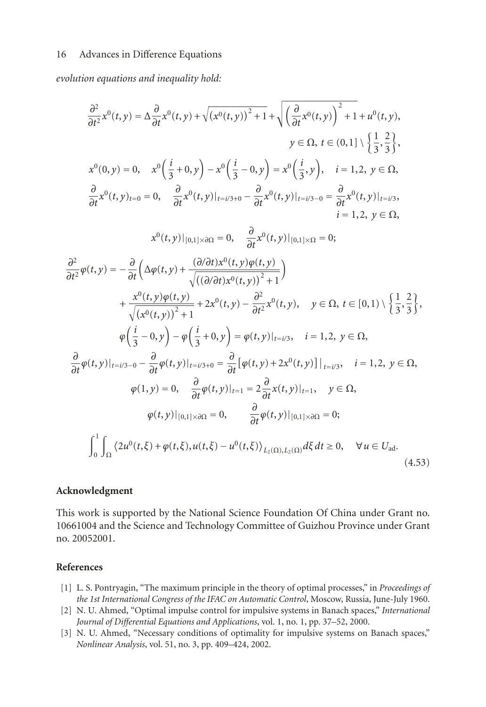*evolution equations and inequality hold:*

$$
\frac{\partial^2}{\partial t^2}x^0(t,y) = \Delta \frac{\partial}{\partial t}x^0(t,y) + \sqrt{(x^0(t,y))^2 + 1} + \sqrt{\left(\frac{\partial}{\partial t}x^0(t,y)\right)^2 + 1} + u^0(t,y),
$$
\n
$$
y \in \Omega, t \in (0,1] \setminus \left\{\frac{1}{3},\frac{2}{3}\right\},
$$
\n
$$
x^0(0,y) = 0, \quad x^0\left(\frac{i}{3} + 0, y\right) - x^0\left(\frac{i}{3} - 0, y\right) = x^0\left(\frac{i}{3}, y\right), \quad i = 1,2, y \in \Omega,
$$
\n
$$
\frac{\partial}{\partial t}x^0(t,y)_{t=0} = 0, \quad \frac{\partial}{\partial t}x^0(t,y)|_{t=i/3+0} - \frac{\partial}{\partial t}x^0(t,y)|_{t=i/3-0} = \frac{\partial}{\partial t}x^0(t,y)|_{t=i/3},
$$
\n
$$
i = 1,2, y \in \Omega,
$$
\n
$$
x^0(t,y)|_{[0,1] \times \partial \Omega} = 0, \quad \frac{\partial}{\partial t}x^0(t,y)|_{[0,1] \times \Omega} = 0;
$$
\n
$$
\frac{\partial^2}{\partial t^2}\varphi(t,y) = -\frac{\partial}{\partial t}\left(\Delta \varphi(t,y) + \frac{(\partial/\partial t)x^0(t,y)\varphi(t,y)}{\sqrt{((\partial/\partial t)x^0(t,y))^2 + 1}}\right) + \frac{x^0(t,y)\varphi(t,y)}{\sqrt{(x^0(t,y))^2 + 1}} + 2x^0(t,y) - \frac{\partial^2}{\partial t^2}x^0(t,y), \quad y \in \Omega, t \in [0,1] \setminus \left\{\frac{1}{3},\frac{2}{3}\right\},
$$
\n
$$
\varphi\left(\frac{i}{3} - 0, y\right) - \varphi\left(\frac{i}{3} + 0, y\right) = \varphi(t,y)|_{t=i/3}, \quad i = 1,2, y \in \Omega,
$$
\n
$$
\frac{\partial}{\partial t}\varphi(t,y)|_{t=i/3-0} - \frac{\partial}{\partial t}\varphi(t,y)|_{t=i/3+0} = \frac{\partial}{\partial t}[\varphi(t,y) + 2x^0(t,y)]|_{t=i/
$$

## **Acknowledgment**

This work is supported by the National Science Foundation Of China under Grant no. 10661004 and the Science and Technology Committee of Guizhou Province under Grant no. 20052001.

## <span id="page-15-0"></span>**References**

- <span id="page-15-1"></span>[1] L. S. Pontryagin, "The maximum principle in the theory of optimal processes," in *Proceedings of the 1st International Congress of the IFAC on Automatic Control*, Moscow, Russia, June-July 1960.
- <span id="page-15-2"></span>[2] N. U. Ahmed, "Optimal impulse control for impulsive systems in Banach spaces," *International Journal of Differential Equations and Applications*, vol. 1, no. 1, pp. 37–52, 2000.
- <span id="page-15-3"></span>[3] N. U. Ahmed, "Necessary conditions of optimality for impulsive systems on Banach spaces," *Nonlinear Analysis*, vol. 51, no. 3, pp. 409–424, 2002.